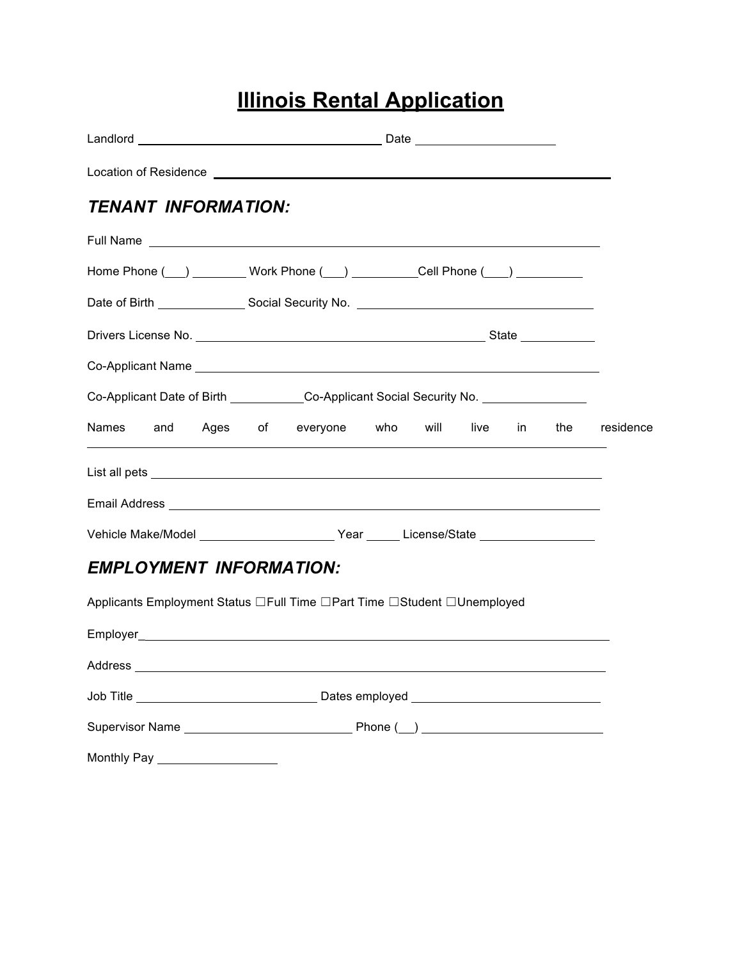## **Illinois Rental Application**

| Location of Residence Learning and the contract of the contract of the contract of the contract of the contract of the contract of the contract of the contract of the contract of the contract of the contract of the contrac       |  |  |     |           |
|--------------------------------------------------------------------------------------------------------------------------------------------------------------------------------------------------------------------------------------|--|--|-----|-----------|
| <b>TENANT INFORMATION:</b>                                                                                                                                                                                                           |  |  |     |           |
| Full Name <b>Example 2018 Contract Contract Contract Contract Contract Contract Contract Contract Contract Contract Contract Contract Contract Contract Contract Contract Contract Contract Contract Contract Contract Contrac</b>   |  |  |     |           |
| Home Phone ( __ ) _________ Work Phone ( ___ ) ___________Cell Phone ( ___ ) __________                                                                                                                                              |  |  |     |           |
|                                                                                                                                                                                                                                      |  |  |     |           |
|                                                                                                                                                                                                                                      |  |  |     |           |
|                                                                                                                                                                                                                                      |  |  |     |           |
| Co-Applicant Date of Birth _____________Co-Applicant Social Security No. ______________                                                                                                                                              |  |  |     |           |
| Names and Ages of everyone who will live in                                                                                                                                                                                          |  |  | the | residence |
| List all pets <b>contract and the contract of the contract of the contract of the contract of the contract of the contract of the contract of the contract of the contract of the contract of the contract of the contract of th</b> |  |  |     |           |
|                                                                                                                                                                                                                                      |  |  |     |           |
| Vehicle Make/Model ___________________________Year _______License/State _______________                                                                                                                                              |  |  |     |           |
| <b>EMPLOYMENT INFORMATION:</b>                                                                                                                                                                                                       |  |  |     |           |
| Applicants Employment Status □Full Time □Part Time □Student □Unemployed                                                                                                                                                              |  |  |     |           |
|                                                                                                                                                                                                                                      |  |  |     |           |
| Address                                                                                                                                                                                                                              |  |  |     |           |
|                                                                                                                                                                                                                                      |  |  |     |           |
|                                                                                                                                                                                                                                      |  |  |     |           |
|                                                                                                                                                                                                                                      |  |  |     |           |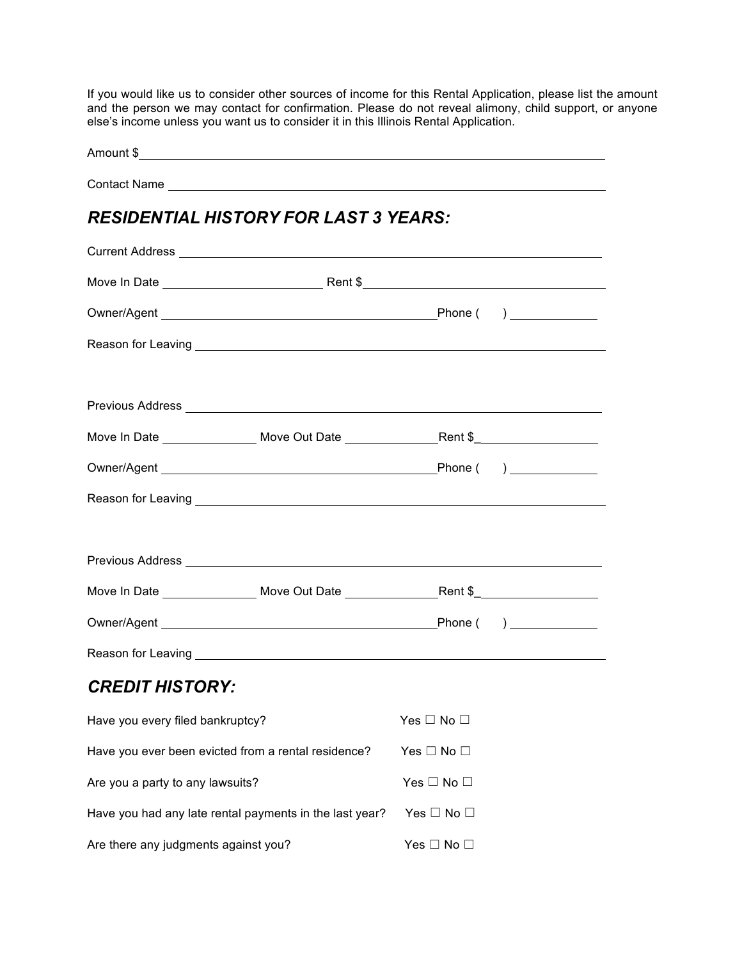If you would like us to consider other sources of income for this Rental Application, please list the amount and the person we may contact for confirmation. Please do not reveal alimony, child support, or anyone else's income unless you want us to consider it in this Illinois Rental Application.

| <b>RESIDENTIAL HISTORY FOR LAST 3 YEARS:</b>                                                                                                                                                                                         |                      |  |
|--------------------------------------------------------------------------------------------------------------------------------------------------------------------------------------------------------------------------------------|----------------------|--|
|                                                                                                                                                                                                                                      |                      |  |
|                                                                                                                                                                                                                                      |                      |  |
|                                                                                                                                                                                                                                      |                      |  |
|                                                                                                                                                                                                                                      |                      |  |
|                                                                                                                                                                                                                                      |                      |  |
| Previous Address <b>Contract Contract Contract Contract Contract Contract Contract Contract Contract Contract Contract Contract Contract Contract Contract Contract Contract Contract Contract Contract Contract Contract Contra</b> |                      |  |
| Move In Date ____________________ Move Out Date ________________________________                                                                                                                                                     |                      |  |
|                                                                                                                                                                                                                                      |                      |  |
|                                                                                                                                                                                                                                      |                      |  |
|                                                                                                                                                                                                                                      |                      |  |
| Previous Address <b>Manual Address Manual Address Manual Address Manual Address</b>                                                                                                                                                  |                      |  |
|                                                                                                                                                                                                                                      |                      |  |
|                                                                                                                                                                                                                                      |                      |  |
|                                                                                                                                                                                                                                      |                      |  |
| <b>CREDIT HISTORY:</b>                                                                                                                                                                                                               |                      |  |
| Have you every filed bankruptcy?                                                                                                                                                                                                     | Yes $\Box$ No $\Box$ |  |
| Have you ever been evicted from a rental residence?                                                                                                                                                                                  | Yes $\Box$ No $\Box$ |  |
| Are you a party to any lawsuits?                                                                                                                                                                                                     | Yes $\Box$ No $\Box$ |  |
| Have you had any late rental payments in the last year?                                                                                                                                                                              | Yes $\Box$ No $\Box$ |  |
| Are there any judgments against you?                                                                                                                                                                                                 | Yes $\Box$ No $\Box$ |  |